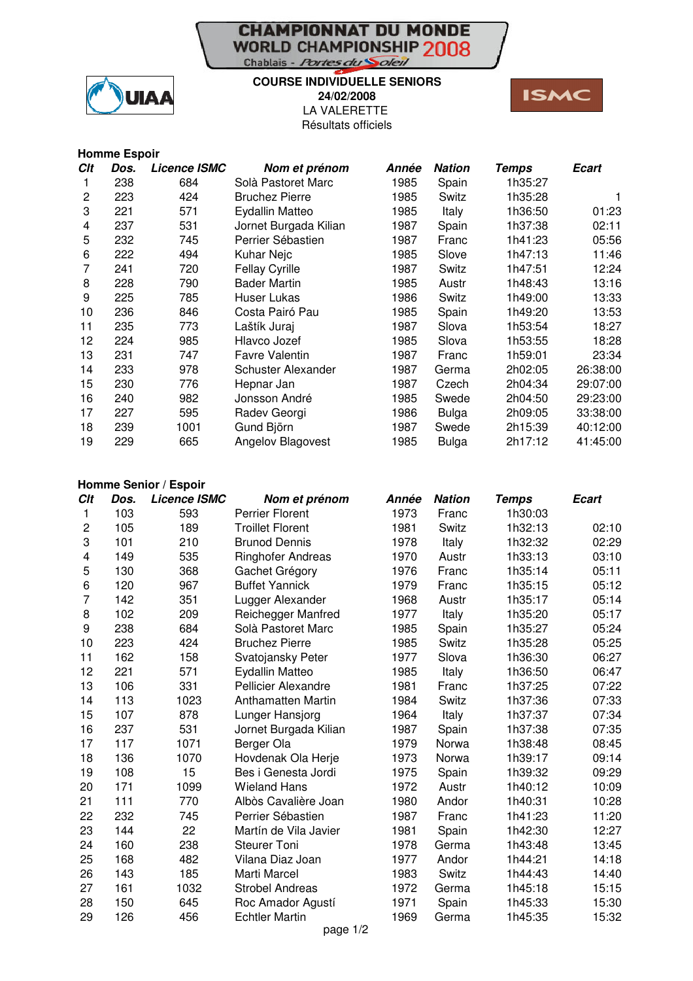## **CHAMPIONNAT DU MONDE**<br>WORLD CHAMPIONSHIP 2008 Chablais - Portes du Soleil



## **COURSE INDIVIDUELLE SENIORS 24/02/2008**

LA VALERETTE Résultats officiels



|     | <b>Homme Espoir</b> |                     |                       |       |               |              |          |
|-----|---------------------|---------------------|-----------------------|-------|---------------|--------------|----------|
| Clt | Dos.                | <b>Licence ISMC</b> | Nom et prénom         | Année | <b>Nation</b> | <b>Temps</b> | Ecart    |
|     | 238                 | 684                 | Solà Pastoret Marc    | 1985  | Spain         | 1h35:27      |          |
| 2   | 223                 | 424                 | <b>Bruchez Pierre</b> | 1985  | Switz         | 1h35:28      |          |
| 3   | 221                 | 571                 | Eydallin Matteo       | 1985  | Italy         | 1h36:50      | 01:23    |
| 4   | 237                 | 531                 | Jornet Burgada Kilian | 1987  | Spain         | 1h37:38      | 02:11    |
| 5   | 232                 | 745                 | Perrier Sébastien     | 1987  | Franc         | 1h41:23      | 05:56    |
| 6   | 222                 | 494                 | Kuhar Nejc            | 1985  | Slove         | 1h47:13      | 11:46    |
| 7   | 241                 | 720                 | <b>Fellay Cyrille</b> | 1987  | Switz         | 1h47:51      | 12:24    |
| 8   | 228                 | 790                 | <b>Bader Martin</b>   | 1985  | Austr         | 1h48:43      | 13:16    |
| 9   | 225                 | 785                 | Huser Lukas           | 1986  | Switz         | 1h49:00      | 13:33    |
| 10  | 236                 | 846                 | Costa Pairó Pau       | 1985  | Spain         | 1h49:20      | 13:53    |
| 11  | 235                 | 773                 | Laštík Juraj          | 1987  | Slova         | 1h53:54      | 18:27    |
| 12  | 224                 | 985                 | Hlavco Jozef          | 1985  | Slova         | 1h53:55      | 18:28    |
| 13  | 231                 | 747                 | <b>Favre Valentin</b> | 1987  | Franc         | 1h59:01      | 23:34    |
| 14  | 233                 | 978                 | Schuster Alexander    | 1987  | Germa         | 2h02:05      | 26:38:00 |
| 15  | 230                 | 776                 | Hepnar Jan            | 1987  | Czech         | 2h04:34      | 29:07:00 |
| 16  | 240                 | 982                 | Jonsson André         | 1985  | Swede         | 2h04:50      | 29:23:00 |
| 17  | 227                 | 595                 | Radev Georgi          | 1986  | Bulga         | 2h09:05      | 33:38:00 |
| 18  | 239                 | 1001                | Gund Björn            | 1987  | Swede         | 2h15:39      | 40:12:00 |
| 19  | 229                 | 665                 | Angelov Blagovest     | 1985  | <b>Bulga</b>  | 2h17:12      | 41:45:00 |

## **Homme Senior / Espoir**

| Clt            | Dos. | <b>Licence ISMC</b> | Nom et prénom              | Année | <b>Nation</b> | <b>Temps</b> | <b>Ecart</b> |
|----------------|------|---------------------|----------------------------|-------|---------------|--------------|--------------|
| 1              | 103  | 593                 | Perrier Florent            | 1973  | Franc         | 1h30:03      |              |
| $\overline{c}$ | 105  | 189                 | <b>Troillet Florent</b>    | 1981  | Switz         | 1h32:13      | 02:10        |
| 3              | 101  | 210                 | <b>Brunod Dennis</b>       | 1978  | Italy         | 1h32:32      | 02:29        |
| 4              | 149  | 535                 | <b>Ringhofer Andreas</b>   | 1970  | Austr         | 1h33:13      | 03:10        |
| 5              | 130  | 368                 | Gachet Grégory             | 1976  | Franc         | 1h35:14      | 05:11        |
| 6              | 120  | 967                 | <b>Buffet Yannick</b>      | 1979  | Franc         | 1h35:15      | 05:12        |
| 7              | 142  | 351                 | Lugger Alexander           | 1968  | Austr         | 1h35:17      | 05:14        |
| 8              | 102  | 209                 | Reichegger Manfred         | 1977  | Italy         | 1h35:20      | 05:17        |
| 9              | 238  | 684                 | Solà Pastoret Marc         | 1985  | Spain         | 1h35:27      | 05:24        |
| 10             | 223  | 424                 | <b>Bruchez Pierre</b>      | 1985  | Switz         | 1h35:28      | 05:25        |
| 11             | 162  | 158                 | Svatojansky Peter          | 1977  | Slova         | 1h36:30      | 06:27        |
| 12             | 221  | 571                 | Eydallin Matteo            | 1985  | Italy         | 1h36:50      | 06:47        |
| 13             | 106  | 331                 | <b>Pellicier Alexandre</b> | 1981  | Franc         | 1h37:25      | 07:22        |
| 14             | 113  | 1023                | <b>Anthamatten Martin</b>  | 1984  | Switz         | 1h37:36      | 07:33        |
| 15             | 107  | 878                 | Lunger Hansjorg            | 1964  | Italy         | 1h37:37      | 07:34        |
| 16             | 237  | 531                 | Jornet Burgada Kilian      | 1987  | Spain         | 1h37:38      | 07:35        |
| 17             | 117  | 1071                | Berger Ola                 | 1979  | Norwa         | 1h38:48      | 08:45        |
| 18             | 136  | 1070                | Hovdenak Ola Herje         | 1973  | Norwa         | 1h39:17      | 09:14        |
| 19             | 108  | 15                  | Bes i Genesta Jordi        | 1975  | Spain         | 1h39:32      | 09:29        |
| 20             | 171  | 1099                | <b>Wieland Hans</b>        | 1972  | Austr         | 1h40:12      | 10:09        |
| 21             | 111  | 770                 | Albòs Cavalière Joan       | 1980  | Andor         | 1h40:31      | 10:28        |
| 22             | 232  | 745                 | Perrier Sébastien          | 1987  | Franc         | 1h41:23      | 11:20        |
| 23             | 144  | 22                  | Martín de Vila Javier      | 1981  | Spain         | 1h42:30      | 12:27        |
| 24             | 160  | 238                 | <b>Steurer Toni</b>        | 1978  | Germa         | 1h43:48      | 13:45        |
| 25             | 168  | 482                 | Vilana Diaz Joan           | 1977  | Andor         | 1h44:21      | 14:18        |
| 26             | 143  | 185                 | Marti Marcel               | 1983  | Switz         | 1h44:43      | 14:40        |
| 27             | 161  | 1032                | <b>Strobel Andreas</b>     | 1972  | Germa         | 1h45:18      | 15:15        |
| 28             | 150  | 645                 | Roc Amador Agustí          | 1971  | Spain         | 1h45:33      | 15:30        |
| 29             | 126  | 456                 | <b>Echtler Martin</b>      | 1969  | Germa         | 1h45:35      | 15:32        |